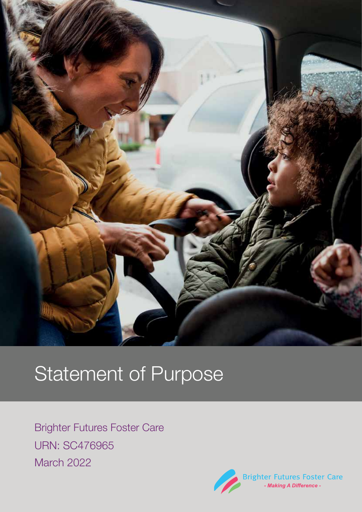

# Statement of Purpose

Brighter Futures Foster Care URN: SC476965 March 2022

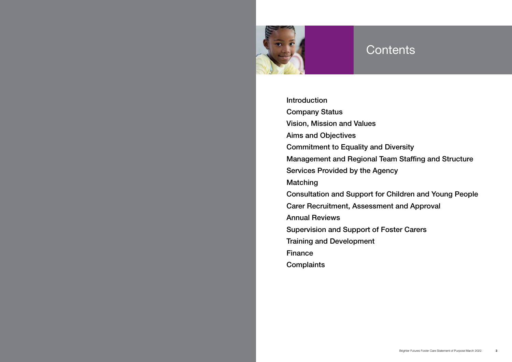

Introduction Company Status Vision, Mission and Values Aims and Objectives Commitment to Equality and Diversity Management and Regional Team Staffing and Structure Services Provided by the Agency Matching Consultation and Support for Children and Young People Carer Recruitment, Assessment and Approval Annual Reviews Supervision and Support of Foster Carers Training and Development Finance **Complaints** 

## **Contents**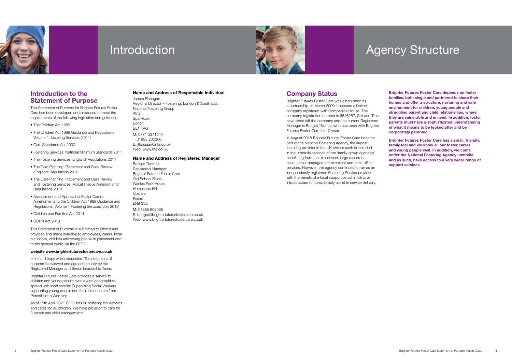



## Introduction **Agency Structure**

### Introduction to the Statement of Purpose

This Statement of Purpose for Brighter Futures Foster Care has been developed and produced to meet the requirements of the following legislation and guidance:

- The Children Act 1989
- The Children Act 1989 Guidance and Regulations Volume 4: fostering Services (2011)
- Care Standards Act 2000
- Fostering Services: National Minimum Standards 2011
- The Fostering Services (England) Regulations 2011
- The Care Planning, Placement and Case Review (England) Regulations 2010
- The Care Planning, Placement and Case Review and Fostering Services (Miscellaneous Amendments) Regulations 2013
- Assessment and Approval of Foster Carers: Amendments to the Children Act 1989 Guidance and Regulations, Volume 4 Fostering Services (July 2013)
- Children and Families Act 2014
- GDPR Act 2018

This Statement of Purpose is submitted to Ofsted and provided and made available to employees, carers, local authorities, children and young people in placement and to the general public via the BFFC.

#### website www.brighterfuturesfostercare.co.uk

or in hard copy when requested. The statement of purpose is reviewed and agreed annually by the Registered Manager and Senior Leadership Team.

Brighter Futures Foster Care provides a service to children and young people over a wide geographical spread with local satellite Supervising Social Workers supporting young people and their foster carers from Petersfield to Worthing.

As of 15th April 2021 BFFC has 56 fostering households and cares for 90 children. We have provision to care for 3 parent and child arrangements.

#### Name and Address of Responsible Individual

#### James Flanagan

Regional Director – Fostering, London & South East National Fostering Group Atria Spa Road Bolton BL1 4AG M: 0771 3341644 T: 01895 200300 E: jflanagan@nfa.co.uk Web: www.nfa.co.uk

#### Name and Address of Registered Manager

Bridget Thomas Registered Manager Brighter Futures Foster Care Old School Block Warlies Park House Horseshoe Hill Upshire Essex EN9 3SL M: 07885 808068 E: bridget@brighterfuturesfostercare.co.uk Web: www.brighterfuturesfostercare.co.uk

## Company Status

Brighter Futures Foster Care was established as a partnership. In March 2009 it became a limited company registered with Companies House. The company registration number is 6846257. Sali and Tina have since left the company and the current Registered Manager is Bridget Thomas who has been with Brighter Futures Foster Care for 10 years.

In August 2018 Brighter Futures Foster Care became part of the National Fostering Agency, the largest fostering provider in the UK and as such is included in the umbrella services of the 'family group agencies' benefitting from the experience, large research base, senior management oversight and back office services. However, the agency continues to run as an independently registered Fostering Service provider with the benefit of a local supportive administrative infrastructure to considerably assist in service delivery.

Brighter Futures Foster Care depends on foster families, both single and partnered to share their homes and offer a structure, nurturing and safe environment for children, young people and struggling parent and child relationships, where they are vulnerable and in need. In addition, foster parents must have a sophisticated understanding of what it means to be looked after and be corporately parented.

Brighter Futures Foster Care has a small, friendly, family feel and we know all our foster carers and young people well. In addition, we come under the National Fostering Agency umbrella and as such, have access to a very wider range of support services.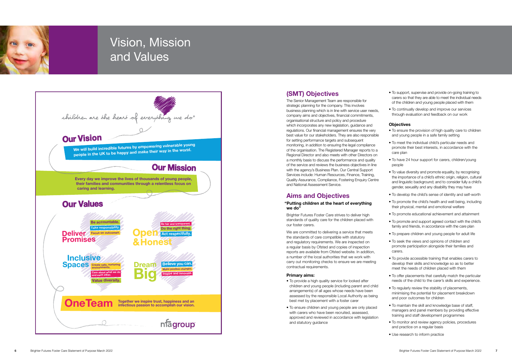## (SMT) Objectives

The Senior Management Team are responsible for strategic planning for the company. This involves business planning which is in line with service user needs, company aims and objectives, financial commitments, organisational structure and policy and procedure which incorporates any new legislation, guidance and regulations. Our financial management ensures the very best value for our stakeholders. They are also responsible for setting performance targets and subsequent monitoring, in addition to ensuring the legal compliance of the organisation. The Registered Manager reports to a Regional Director and also meets with other Directors on a monthly basis to discuss the performance and quality of the service and reviews the business objectives in line with the agency's Business Plan. Our Central Support Services include: Human Resources, Finance, Training, Quality Assurance, Compliance, Fostering Enquiry Centre and National Assessment Service.

## Aims and Objectives

#### "Putting children at the heart of everything we do"

Brighter Futures Foster Care strives to deliver high standards of quality care for the children placed with our foster carers.

We are committed to delivering a service that meets the standards of care compatible with statutory and regulatory requirements. We are inspected on a regular basis by Ofsted and copies of inspection reports are available from Ofsted website. In addition, a number of the local authorities that we work with carry out monitoring checks to ensure we are meeting contractual requirements.

#### Primary aims:

- To provide a high quality service for looked after children and young people (including parent and child arrangements) of all ages whose needs have been assessed by the responsible Local Authority as being best met by placement with a foster carer
- To ensure children and young people are only placed with carers who have been recruited, assessed, approved and reviewed in accordance with legislation and statutory guidance
- To ensure the provision of high quality care to children and young people in a safe family setting
- To meet the individual child's particular needs and promote their best interests, in accordance with the care plan
- To have 24 hour support for carers, children/young people
- To value diversity and promote equality, by recognising the importance of a child's ethnic origin, religion, cultural and linguistic background; and to consider fully a child's gender, sexuality and any disability they may have
- To develop the child's sense of identity and self-worth
- To promote the child's health and well being, including their physical, mental and emotional welfare
- To promote educational achievement and attainment
- To promote and support agreed contact with the child's family and friends, in accordance with the care plan
- To prepare children and young people for adult life
- To seek the views and opinions of children and promote participation alongside their families and carers.
- To provide accessible training that enables carers to develop their skills and knowledge so as to better meet the needs of children placed with them
- To offer placements that carefully match the particular needs of the child to the carer's skills and experience.
- To regularly review the stability of placements, minimising the potential for placement breakdown and poor outcomes for children
- To maintain the skill and knowledge base of staff, managers and panel members by providing effective training and staff development programmes
- To monitor and review agency policies, procedures and practice on a regular basis
- Use research to inform practice
- To support, supervise and provide on-going training to carers so that they are able to meet the individual needs of the children and young people placed with them
- To continually develop and improve our services through evaluation and feedback on our work

#### **Objectives**



# Vision, Mission and Values

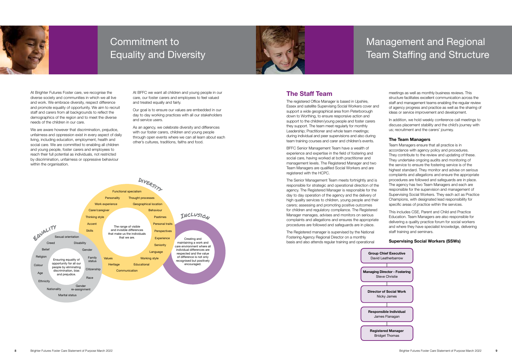At Brighter Futures Foster care, we recognise the diverse society and communities in which we all live and work. We embrace diversity, respect difference and promote equality of opportunity. We aim to recruit staff and carers from all backgrounds to reflect the demographics of the region and to meet the diverse needs of the children in our care.

We are aware however that discrimination, prejudice, unfairness and oppression exist in every aspect of daily living, including education, employment, health and social care. We are committed to enabling all children and young people, foster carers and employees to reach their full potential as individuals, not restricted by discrimination, unfairness or oppressive behaviour within the organisation.

At BFFC we want all children and young people in our care, our foster carers and employees to feel valued and treated equally and fairly.

Our goal is to ensure our values are embedded in our day to day working practices with all our stakeholders and service users.

As an agency, we celebrate diversity and differences with our foster carers, children and young people through open events where we can all learn about each other's cultures, traditions, faiths and food.

## The Staff Team

The registered Office Manager is based in Upshire, Essex and satellite Supervising Social Workers cover and support a wide geographical area from Peterborough down to Worthing, to ensure responsive action and support to the children/young people and foster carers they support. The team meet regularly for monthly Leadership; Practitioner and whole team meetings; during individual and peer supervisions and also during team training courses and carer and children's events.

BFFC Senior Management Team have a wealth of experience and expertise in the field of fostering and social care, having worked at both practitioner and management levels. The Registered Manager and two Team Managers are qualified Social Workers and are registered with the HCPC.

The Senior Management Team meets fortnightly and is responsible for strategic and operational direction of the agency. The Registered Manager is responsible for the day to day operation of the agency and the delivery of high quality services to children, young people and their carers; assessing and promoting positive outcomes for children and regulatory compliance. The Registered Manager manages, advises and monitors on serious complaints and allegations and ensures the appropriate procedures are followed and safeguards are in place.

The Registered manager is supervised by the National Fostering Agency Regional Director on a monthly basis and also attends regular training and operational

meetings as well as monthly business reviews. This structure facilitates excellent communication across the staff and management teams enabling the regular review of agency progress and practice as well as the sharing of ideas or service improvement and development.

In addition, we hold weekly conference call meetings to discuss placement stability and the child's journey with us; recruitment and the carers' journey.

#### The Team Managers

Team Managers ensure that all practice is in accordance with agency policy and procedures. They contribute to the review and updating of these. They undertake ongoing audits and monitoring of the service to ensure the fostering service is of the highest standard. They monitor and advise on serious complaints and allegations and ensure the appropriate procedures are followed and safeguards are in place. The agency has two Team Managers and each are responsible for the supervision and management of Supervising Social Workers. They each act as Practice Champions, with designated lead responsibility for specific areas of practice within the services.

This includes CSE, Parent and Child and Practice Education. Team Managers are also responsible for delivering a quality practice forum for social workers and where they have specialist knowledge, delivering staff training and seminars.

### Supervising Social Workers (SSWs)



## Commitment to Equality and Diversity





## Management and Regional Team Staffing and Structure

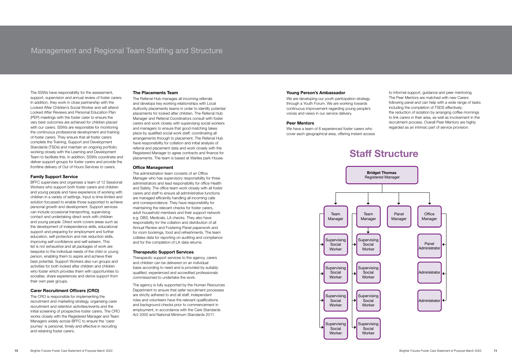The SSWs have responsibility for the assessment, support, supervision and annual review of foster carers. In addition, they work in close partnership with the Looked After Children's Social Worker and will attend Looked After Reviews and Personal Education Plan (PEP) meetings with the foster carer to ensure the very best outcomes are achieved for children placed with our carers. SSWs are responsible for monitoring the continuous professional development and training of foster carers. They ensure that all foster carers complete the Training, Support and Development Standards (TSDs) and maintain an ongoing portfolio; working closely with the Learning and Development Team to facilitate this. In addition, SSWs coordinate and deliver support groups for foster carers and provide the frontline delivery of Out of Hours Services to carers.

#### Family Support Service

BFFC supervises and organises a team of 12 Sessional Workers who support both foster carers and children and young people and have experience of working with children in a variety of settings. Input is time-limited and solution focussed to enable those supported to achieve personal growth and development. Support services can include occasional transporting, supervising contact and undertaking direct work with children and young people. Direct work covers areas such as the development of independence skills, educational support and preparing for employment and further education, self-protection and risk reduction skills, improving self-confidence and self-esteem. This list is not exhaustive and all packages of work are bespoke to the individual needs of the child or young person, enabling them to aspire and achieve their best potential. Support Workers also run groups and activities for both looked after children and children who foster which provides them with opportunities to socialise, share experiences and derive support from their own peer groups.

#### Carer Recruitment Officers (CRO)

The CRO is responsible for implementing the recruitment and marketing strategy, organising carer recruitment and retention activities/events and the initial screening of prospective foster carers. The CRO works closely with the Registered Manager and Team Managers widely across BFFC to ensure the 'carer journey' is personal, timely and effective in recruiting and retaining foster carers.

We are developing our youth participation strategy through a Youth Forum. We are working towards continuous improvement regarding young people's voices and views in our service delivery.

#### The Placements Team

The Referral Hub manages all incoming referrals and develops key working relationships with Local Authority placements teams in order to identify potential placements for looked after children. The Referral Hub Manager and Referral Coordinators consult with foster carers and work closely with supervising social workers and managers to ensure that good matching takes place by qualified social work staff; coordinating all arrangements through to placement. The Referral Hub have responsibility for collation and initial analysis of referral and placement data and work closely with the Registered Manager to agree contracts and finance for placements. The team is based at Warlies park House.

#### Office Management

The administration team consists of an Office Manager who has supervisory responsibility for three administrators and lead responsibility for office Health and Safety. The office team work closely with all foster carers and staff to ensure all administrative functions are managed efficiently handling all incoming calls and correspondence. They have responsibility for maintaining the relevant checks for foster carers, adult household members and their support network e.g. DBS, Medicals, LA checks. They also have responsibility for the collation and distribution of all Annual Review and Fostering Panel paperwork and for room bookings, food and refreshments. The team collates data for reporting on auditing and compliance and for the completion of LA data returns.

#### Therapeutic Support Services

Therapeutic support services to the agency, carers and children can be delivered on an individual basis according to need and is provided by suitably qualified, experienced and accredited professionals commissioned to undertake the work.

The agency is fully supported by the Human Resources Department to ensure that safer recruitment processes are strictly adhered to and all staff, independent roles and volunteers have the relevant qualifications and background checks prior to commencement in employment, in accordance with the Care Standards Act 2000 and National Minimum Standards 2011.

#### Young Person's Ambassador

#### Peer Mentors

We have a team of 6 experienced foster carers who cover each geographical area, offering instant access to informal support, guidance and peer mentoring. The Peer Mentors are matched with new Carers following panel and can help with a wide range of tasks including the completion of TSDS effectively; the reduction of isolation by arranging coffee mornings to link carers in their area, as well as involvement in the recruitment process. Overall Peer Mentors are highly regarded as an intrinsic part of service provision.

## Staff Structure

## Management and Regional Team Staffing and Structure

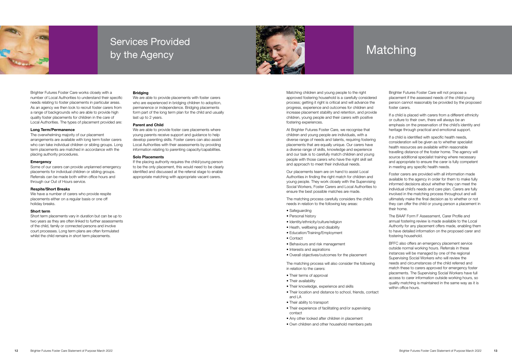Brighter Futures Foster Care works closely with a number of Local Authorities to understand their specific needs relating to foster placements in particular areas. As an agency we then look to recruit foster carers from a range of backgrounds who are able to provide high quality foster placements for children in the care of Local Authorities. The types of placement provided are:

#### Long Term/Permanence

We have a number of carers who provide respite placements either on a regular basis or one off holiday breaks.

The overwhelming majority of our placement arrangements are available with long term foster carers who can take individual children or sibling groups. Long term placements are matched in accordance with the placing authority procedures.

#### Emergency

Some of our carers can provide unplanned emergency placements for individual children or sibling groups. Referrals can be made both within office hours and through our Out of Hours service.

We are able to provide foster care placements where young parents receive support and guidance to help develop parenting skills. Foster carers can also assist Local Authorities with their assessments by providing information relating to parenting capacity/capabilities.

#### Respite/Short Breaks

#### Short term

Short term placements vary in duration but can be up to two years as they are often linked to further assessments of the child, family or connected persons and involve court processes. Long term plans are often formulated whilst the child remains in short term placements.

#### **Bridging**

We are able to provide placements with foster carers who are experienced in bridging children to adoption. permanence or independence. Bridging placements form part of the long term plan for the child and usually last up to 2 years.

#### Parent and Child

#### Solo Placements

If the placing authority requires the child/young person to be the only placement, this would need to be clearly identified and discussed at the referral stage to enable appropriate matching with appropriate vacant carers.



## Services Provided by the Agency



Matching children and young people to the right approved fostering household is a carefully considered process; getting it right is critical and will advance the progress, experience and outcomes for children and increase placement stability and retention, and provide children, young people and their carers with positive fostering experiences.

> If a child is identified with specific health needs, consideration will be given as to whether specialist health resources are available within reasonable travelling distance of the foster home. The agency will source additional specialist training where necessary and appropriate to ensure the carer is fully competent in meeting any specific health needs.

At Brighter Futures Foster Care, we recognise that children and young people are individuals, with a diverse range of needs and talents, requiring fostering placements that are equally unique. Our carers have a diverse range of skills, knowledge and experience and our task is to carefully match children and young people with those carers who have the right skill set and approach to meet their individual needs.

Our placements team are on hand to assist Local Authorities in finding the right match for children and young people. They work closely with the Supervising Social Workers, Foster Carers and Local Authorities to ensure the best possible matches are made.

The matching process carefully considers the child's needs in relation to the following key areas:

- Safeguarding
- Personal history
- Identity/ethnicity/culture/religion
- Heath, wellbeing and disability
- Education/Training/Employment
- Contact
- Behaviours and risk management
- Interests and aspirations
- Overall objectives/outcomes for the placement

The matching process will also consider the following in relation to the carers:

- Their terms of approval
- Their availability
- Their knowledge, experience and skills
- Their location and distance to school, friends, contact and LA
- Their ability to transport
- Their experience of facilitating and/or supervising contact
- Any other looked after children in placement
- Own children and other household members pets

Brighter Futures Foster Care will not propose a placement if the assessed needs of the child/young person cannot reasonably be provided by the proposed foster carers.

If a child is placed with carers from a different ethnicity or culture to their own, there will always be an emphasis on the preservation of the child's identity and heritage through practical and emotional support.

Foster carers are provided with all information made available to the agency in order for them to make fully informed decisions about whether they can meet the individual child's needs and care plan. Carers are fully involved in the matching process throughout and will ultimately make the final decision as to whether or not they can offer the child or young person a placement in their home.

The BAAF Form F Assessment, Carer Profile and annual fostering review is made available to the Local Authority for any placement offers made, enabling them to have detailed information on the proposed carer and fostering household.

BFFC also offers an emergency placement service outside normal working hours. Referrals in these instances will be managed by one of the regional Supervising Social Workers who will review the needs and circumstances of the child referred and match these to carers approved for emergency foster placements. The Supervising Social Workers have full access to carer information outside working hours, so quality matching is maintained in the same way as it is within office hours.

## Matching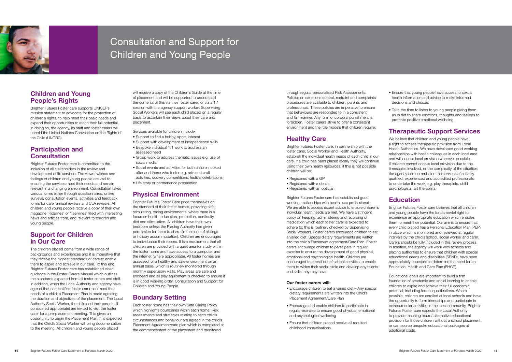through regular personalised Risk Assessments. Policies on sanctions control, restraint and complaints procedures are available to children, parents and professionals. These policies are imperative to ensure that behaviours are responded to in a consistent and fair manner. Any form of corporal punishment is forbidden. Foster carers strive to offer a consistent environment and the role models that children require.

## Healthy Care

Brighter Futures Foster care, in partnership with the foster carer, Social Worker and Health Authority, establish the individual health needs of each child in our care. If a child has been placed locally they will continue using their own health resources, if this is not possible children will be:

- Registered with a GP
- Registered with a dentist
- Registered with an optician

Brighter Futures Foster care has established good working relationships with health care professionals. We are able to access expert advice to ensure children's individual health needs are met. We have a stringent policy on keeping, administering and recording of medication which each foster carer is expected to adhere to; this is routinely checked by Supervising Social Workers. Foster carers encourage children to eat a varied diet. Special dietary requirements are written into the child's Placement agreement/Care Plan. Foster carers encourage children to participate in regular exercise to ensure the development of good physical, emotional and psychological health. Children are encouraged to attend out of school activities to enable them to widen their social circle and develop any talents and skills they may have.

#### Our foster carers will:

- Encourage children to eat a varied diet Any special dietary requirements are written into the Child's Placement Agreement/Care Plan
- Encourage and enable children to participate in regular exercise to ensure good physical, emotional and psychological wellbeing
- Ensure that children placed receive all required childhood immunisations
- Ensure that young people have access to sexual health information and advice to make informed decisions and choices
- Take the time to listen to young people giving them an outlet to share emotions, thoughts and feelings to promote positive emotional wellbeing.

## Participation and **Consultation**

## Therapeutic Support Services

We believe that children and young people have a right to access therapeutic provision from Local Health Authorities. We have developed good working relationships with health colleagues in each local area and will access local provision wherever possible. If children cannot access local provision due to the timescales involved, or the complexity of the situation; the agency can commission the services of suitably qualified, experienced and accredited professionals to undertake the work e.g. play therapists, child psychologists, art therapists.

## Education

Brighter Futures Foster care believes that all children and young people have the fundamental right to experience an appropriate education which enables them to meet their potential. Our aim is to ensure that every child placed has a Personal Education Plan (PEP) in place which is monitored and reviewed at regular intervals by the child's school, social worker and carer. Carers should be fully included in this review process. In addition, the agency will work with schools and placing authorities to ensure that children with special educational needs and disabilities (SEND), have been appropriately assessed to determine the need for an Education, Health and Care Plan (EHCP).

Educational goals are important to build a firm foundation of academic and social learning to enable children to aspire and achieve their full academic potential, including formal qualifications. Where possible, children are enrolled at local schools and have the opportunity to form friendships and participate in extracurricular activities in the local community. Brighter Futures Foster care expects the Local Authority to provide teaching hours/ alternative educational provision for those children without a school placement, or can source bespoke educational packages at additional costs.



## Consultation and Support for Children and Young People

## Children and Young People's Rights

Brighter Futures Foster care supports UNICEF's mission statement to advocate for the protection of children's rights, to help meet their basic needs and expand their opportunities to reach their full potential. In doing so, the agency, its staff and foster carers will uphold the United Nations Convention on the Rights of the Child (UNCRC).

Brighter Futures Foster care is committed to the inclusion of all stakeholders in the review and development of its services. The views, wishes and feelings of children and young people are vital to ensuring the services meet their needs and remain relevant in a changing environment. Consultation takes various forms either through questionnaires, online surveys, consultation events, activities and feedback forms for carer annual reviews and CLA reviews. All children and young people receive a copy of their own magazine 'Kidslines' or 'Teenlines' filled with interesting news and articles from, and relevant to children and young people.

## Support for Children in Our Care

The children placed come from a wide range of backgrounds and experiences and it is imperative that they receive the highest standards of care to enable them to aspire and achieve in our care. To this end, Brighter Futures Foster care has established clear guidance in the Foster Carers Manual which outlines the standards expected from all foster carers and staff. In addition, when the Local Authority and agency have agreed that an identified foster carer can meet the needs of a child; a Placement Plan is made agreeing the duration and objectives of the placement. The Local Authority Social Worker, the child and their parents (if considered appropriate) are invited to visit the foster carer for a pre-placement meeting. This gives an opportunity to begin the Placement Plan. It is expected that the Child's Social Worker will bring documentation to the meeting. All children and young people placed

will receive a copy of the Children's Guide at the time of placement and will be supported to understand the contents of this via their foster carer, or via a 1:1 session with the agency support worker. Supervising Social Workers will see each child placed on a regular basis to ascertain their views about their care and placement.

Services available for children include:

- Support to find a hobby, sport, interest
- Support with development of independence skills
- Bespoke individual 1:1 work to address an assessed need
- Group work to address thematic issues e.g. use of social media
- Social events and activities for both children looked after and those who foster e.g. arts and craft activities, cookery competitions, festival celebrations. • Life story or permanence preparation.

## Physical Environment

Brighter Futures Foster Care pride themselves on the standard of their foster homes, providing safe, stimulating, caring environments, where there is a focus on health, education, protection, continuity, diet and stimulation. All children have their own bedroom unless the Placing Authority has given permission for them to share (in the case of siblings or holiday accommodation). Children are encouraged to individualise their rooms. It is a requirement that all children are provided with a quiet area for study within the foster home and have access to a computer and the internet (where appropriate). All foster homes are assessed for a healthy and safe environment on an annual basis, which is routinely monitored through monthly supervisory visits. Play areas are safe and enclosed and all play equipment is checked to ensure it is in good working order. Consultation and Support for Children and Young People.

## Boundary Setting

Each foster home has their own Safe Caring Policy which highlights boundaries within each home. Risk assessments and strategies relating to each child's circumstances and behaviour are agreed in the child's Placement Agreement/care plan which is completed at the commencement of the placement and monitored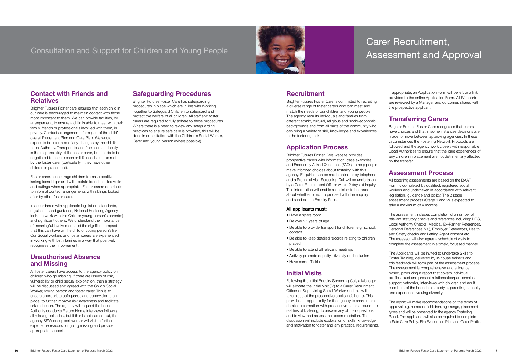## Contact with Friends and **Relatives**

Brighter Futures Foster care ensures that each child in our care is encouraged to maintain contact with those most important to them. We can provide facilities, by arrangement, to ensure a child is able to meet with their family, friends or professionals involved with them, in privacy. Contact arrangements form part of the child's overall Placement Plan and Care Plan. We would expect to be informed of any changes by the child's Local Authority. Transport to and from contact locally is the responsibility of the foster carer, but needs to be negotiated to ensure each child's needs can be met by the foster carer (particularly if they have other children in placement).

Foster carers encourage children to make positive lasting friendships and will facilitate friends for tea visits and outings when appropriate. Foster carers contribute to informal contact arrangements with siblings looked after by other foster carers.

In accordance with applicable legislation, standards, regulations and guidance, National Fostering Agency looks to work with the Child or young person's parent(s) and significant others. We understand the importance of meaningful involvement and the significant impact that this can have on the child or young person's life. Our Social workers and foster carers are experienced in working with birth families in a way that positively recognises their involvement.

## Unauthorised Absence and Missing

All foster carers have access to the agency policy on children who go missing. If there are issues of risk, vulnerability or child sexual exploitation, then a strategy will be discussed and agreed with the Child's Social Worker, young person and foster carer. This is to ensure appropriate safeguards and supervision are in place, to further improve risk awareness and facilitate risk reduction. The agency will request the Local Authority conducts Return Home Interviews following all missing episodes, but if this is not carried out, the agency SSW or support worker will visit to further explore the reasons for going missing and provide appropriate support.

## Safeguarding Procedures

Brighter Futures Foster Care has safeguarding procedures in place which are in line with Working Together to Safeguard Children to safeguard and protect the welfare of all children. All staff and foster carers are required to fully adhere to these procedures. Where there is a need to review any safeguarding practices to ensure safe care is provided, this will be done in consultation with the Children's Social Worker, Carer and young person (where possible).

## **Recruitment**

## Consultation and Support for Children and Young People



Brighter Futures Foster Care is committed to recruiting a diverse range of foster carers who can meet and match the needs of our children and young people. The agency recruits individuals and families from different ethnic, cultural, religious and socio-economic backgrounds and from all parts of the community who can bring a variety of skill, knowledge and experiences to the fostering task.

## Application Process

Brighter Futures Foster Care website provides prospective carers with information, case examples and Frequently Asked Questions (FAQs) to help people make informed choices about fostering with this agency. Enquiries can be made online or by telephone and a Pre Initial Visit Screening Call will be undertaken by a Carer Recruitment Officer within 2 days of inquiry. This information will enable a decision to be made about whether or not to proceed with the enquiry and send out an Enquiry Pack.

#### All applicants must:

- Have a spare room
- Be over 21 years of age
- Be able to provide transport for children e.g. school, contact
- Be able to keep detailed records relating to children placed
- Be able to attend all relevant meetings
- Actively promote equality, diversity and inclusion
- Have some IT skills

## Initial Visits

Following the Initial Enquiry Screening Call, a Manager will allocate the Initial Visit (IV) to a Carer Recruitment Officer or Supervising Social Worker and this will take place at the prospective applicant's home. This provides an opportunity for the agency to share more detailed information with prospective carers around the realities of fostering, to answer any of their questions and to view and assess the accommodation. The discussion will include exploration of skills, knowledge and motivation to foster and any practical requirements. If appropriate, an Application Form will be left or a link provided to the online Application Form. All IV reports are reviewed by a Manager and outcomes shared with the prospective applicant.

### Transferring Carers

Brighter Futures Foster Care recognises that carers have choices and that in some instances decisions are made to move between approving agencies. In these circumstances the Fostering Network Protocols are followed and the agency work closely with responsible Local Authorities to ensure that the care experiences of any children in placement are not detrimentally affected by the transfer.

### Assessment Process

All fostering assessments are based on the BAAF Form F, completed by qualified, registered social workers and undertaken in accordance with relevant legislation, guidance and policy. The 2 stage assessment process (Stage 1 and 2) is expected to take a maximum of 4 months.

The assessment includes completion of a number of relevant statutory checks and references including: DBS, Local Authority Checks, Medical, Ex-Partner References, Personal References (x 3), Employer References, Health and Safety checks and Letting Agent consent etc. The assessor will also agree a schedule of visits to complete the assessment in a timely, focussed manner.

The Applicants will be invited to undertake Skills to Foster Training, delivered by in-house trainers and this feedback will form part of the assessment process. The assessment is comprehensive and evidence based, producing a report that covers individual profiles, past and present relationships/partnerships, support networks, interviews with children and adult members of the household, lifestyle, parenting capacity and experience, valuing diversity.

The report will make recommendations on the terms of approval e.g. number of children, age range, placement types and will be presented to the agency Fostering Panel. The applicants will also be required to complete a Safe Care Policy, Fire Evacuation Plan and Carer Profile.

## Carer Recruitment, Assessment and Approval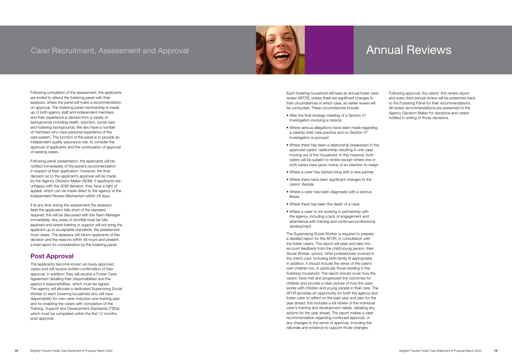Following completion of the assessment, the applicants are invited to attend the fostering panel with their assessor, where the panel will make a recommendation on approval. The fostering panel membership is made up of both agency staff and independent members and their experience is derived from a variety of backgrounds including health, eduction, social care and fostering backgrounds. We also have a number of members who have personal experience of the care system. The function of the panel is to provide an independent quality assurance role, to consider the approval of applicants and the continuation of approval of existing carers.

Following panel presentation, the applicants will be notified immediately of the panel's recommendation in respect of their application. However, the final decision as to the applicant's approval will be made by the Agency Decision Maker (ADM). If applicants are unhappy with the ADM decision, they have a right of appeal, which can be made direct to the agency or the Independent Review Mechanism within 28 days.

If at any time during the assessment the assessor feels the application falls short of the standard required, this will be discussed with the Team Manager immediately. Any areas of shortfall must be fully explored and where training or support will not bring the applicant up to acceptable standards, the assessment must cease. The assessor will inform applicants of this decision and the reasons within 48 hours and present a brief report for consideration by the fostering panel.

## Post Approval

The applicants become known as newly approved carers and will receive written confirmation of their approval. In addition, they will receive a Foster Carer Agreement detailing their responsibilities and the agency's responsibilities, which must be signed. The agency will allocate a dedicated Supervising Social Worker to each fostering household who will have responsibility for new carer induction and training plan and for enabling the carers with completion of the Training, Support and Development Standards (TSDs) which must be completed within the first 12 months post approval.





## Carer Recruitment, Assessment and Approval

Each fostering household will have an annual foster carer review (AFCR), unless there are significant changes to their circumstances in which case, an earlier review will be conducted. These circumstances include:

- After the final strategy meeting of a Section 47 investigation involving a carer(s)
- Where serious allegations have been made regarding a carer(s) child care practice and no Section 47 investigation is pursued
- Where there has been a relationship breakdown in the approved carers' relationship resulting in one carer moving out of the household. In this instance, both carers will be subject to review except where one or both carers have given notice of an intention to resign
- Where a carer has started living with a new partner
- Where there have been significant changes to the carers' lifestyle
- Where a carer has been diagnosed with a serious illness
- Where there has been the death of a carer
- Where a carer is not working in partnership with the agency, including a lack of engagement and attendance with training and continued professional development.

The Supervising Social Worker is required to prepare a detailed report for the AFCR, in consultation with the foster carers. The report will seek and take into account feedback from the child/young person, their Social Worker, school, other professionals involved in the child's care, including birth family (if appropriate). In addition, it should include the views of the carer's own children too, in particular those residing in the fostering household. The report should cover how the carers' have met and progressed the outcomes for children and provide a clear picture of how the carer works with children and young people in their care. The AFCR provides an opportunity for both the agency and foster carer to reflect on the past year and plan for the year ahead; this includes a full review of the individual carer's training and development needs, detailing any actions for the year ahead. The report makes a clear recommendation regarding continued approval, or any changes to the terms of approval, including the rationale and evidence to support those changes.

Following approval, the carers' first review report and every third annual review will be presented back to the Fostering Panel for their recommendations. All review recommendations are presented to the Agency Decision Maker for decisions and carers notified in writing of those decisions.

## Annual Reviews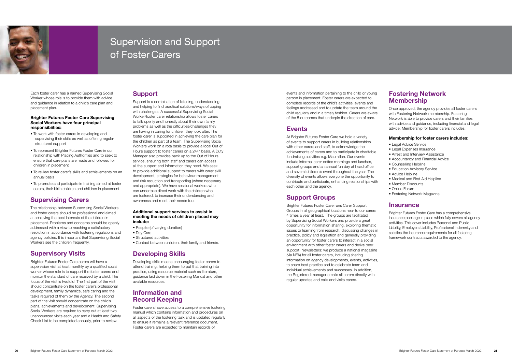Each foster carer has a named Supervising Social Worker whose role is to provide them with advice and guidance in relation to a child's care plan and placement plan.

#### Brighter Futures Foster Care Supervising Social Workers have four principal responsibiities:

- To work with foster carers in developing and supervising their skills as well as offering regular structured support
- To represent Brighter Futures Foster Care in our relationship with Placing Authorities and to seek to ensure that care plans are made and followed for children in placement
- To review foster carer's skills and achievements on an annual basis
- To promote and participate in training aimed at foster carers, their birth children and children in placement

## Supervising Carers

The relationship between Supervising Social Workers and foster carers should be professional and aimed at achieving the best interests of the children in placement. Problems and concerns should be openly addressed with a view to reaching a satisfactory resolution in accordance with fostering regulations and agency policies. It is important that Supervising Social Workers see the children frequently.

## Supervisory Visits

Brighter Futures Foster Care carers will have a supervision visit at least monthly by a qualified social worker whose role is to support the foster carers and monitor the standard of care received by a child. The focus of the visit is twofold. The first part of the visit should concentrate on the foster carer's professional development, family dynamics, safe caring and the tasks required of them by the Agency. The second part of the visit should concentrate on the child's plans, achievements and development. Supervising Social Workers are required to carry out at least two unannounced visits each year and a Health and Safety Check List to be completed annually, prior to review.

## **Support**

Support is a combination of listening, understanding and helping to find practical solutions/ways of coping with challenges. A successful Supervising Social Worker/foster carer relationship allows foster carers to talk openly and honestly about their own family problems as well as the difficulties/challenges they are having in caring for children they look after. The foster carer is supported in achieving the care plan for the children as part of a team. The Supervising Social Workers work on a rota basis to provide a local Out of Hours support to foster carers on a 24/7 basis. A Duty Manager also provides back up to the Out of Hours service, ensuring both staff and carers can access all the support and information they need. We seek to provide additional support to carers with carer skill development, strategies for behaviour management and risk reduction and transporting (where necessary and appropriate). We have sessional workers who can undertake direct work with the children who are fostered, to increase their understanding and awareness and meet their needs too.

## Fostering Network **Membership**

#### Additional support services to assist in meeting the needs of children placed may include:

- Respite (of varying duration)
- Day Care
- Structured activities
- Contact between children, their family and friends.

## Developing Skills

Developing skills means encouraging foster carers to attend training, helping them to put that training into practice, using resource material such as literature, guidance laid down in the Fostering Manual and other available resources.

## Information and Record Keeping

Foster carers have access to a comprehensive fostering manual which contains information and procedures on all aspects of the fostering task and is updated regularly to ensure it remains a relevant reference document. Foster carers are expected to maintain records of

events and information pertaining to the child or young person in placement. Foster carers are expected to complete records of the child's activities, events and feelings addressed and to update the team around the child regularly and in a timely fashion. Carers are aware of the 5 outcomes that underpin the direction of care.

### **Events**

At Brighter Futures Foster Care we hold a variety of events to support carers in building relationships with other carers and staff, to acknowledge the achievements of carers and to participate in charitable fundraising activities e.g. Macmillan. Our events include informal carer coffee mornings and lunches, support groups and an annual fun day at head office and several children's event throughout the year. The diversity of events allows everyone the opportunity to contribute and participate, enhancing relationships with each other and the agency.

## Support Groups

Brighter Futures Foster Care runs Carer Support Groups in all geographical locations near to our carers 4 times a year at least. The groups are facilitated by Supervising Social Workers and provide a great opportunity for information sharing, exploring thematic issues or learning from research, discussing changes in practice, policy and legislation and generally providing an opportunity for foster carers to interact in a social environment with other foster carers and derive peer support. Newsletters: we produce a national magazine (via NFA) for all foster carers, including sharing information on agency developments, events, activities, to share best practice and to celebrate team and individual achievements and successes. In addition, the Registered manager emails all carers directly with regular updates and calls and visits carers.

Once approved, the agency provides all foster carers with Fostering Network membership. Fostering Network is able to provide carers and their families with advice and guidance, including financial and legal advice. Membership for foster carers includes:

#### Membership for foster carers includes:

- Legal Advice Service
- Legal Expenses Insurance
- Arrest and Interview Assistance
- Accountancy and Financial Advice
- Counselling Helpline
- Education Advisory Service
- Advice Helpline
- Medical and First Aid Helpline
- Member Discounts
- Online Forum
- Fostering Network Magazine.

### Insurance

Brighter Futures Foster Care has a comprehensive insurance package in place which fully covers all agency activities. This cover includes Personal and Public Liability, Employers Liability, Professional Indemnity and satisfies the insurance requirements for all fostering framework contracts awarded to the agency.



## Supervision and Support of Foster Carers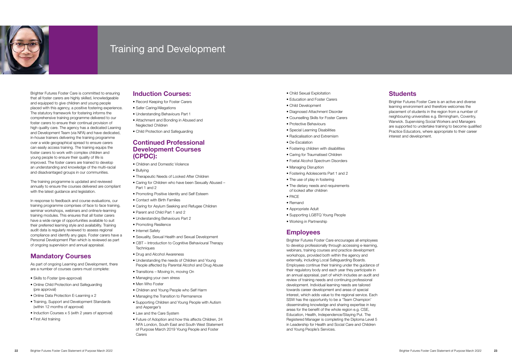Brighter Futures Foster Care is committed to ensuring that all foster carers are highly skilled, knowledgeable and equipped to give children and young people placed with this agency, a positive fostering experience. The statutory framework for fostering informs the comprehensive training programme delivered to our foster carers to ensure their continual provision of high quality care. The agency has a dedicated Leaning and Development Team (via NFA) and have dedicated, in-house trainers delivering the training programme over a wide geographical spread to ensure carers can easily access training. The training equips the foster carers to work with complex children and young people to ensure their quality of life is improved. The foster carers are trained to develop an understanding and knowledge of the multi-racial and disadvantaged groups in our communities.

The training programme is updated and reviewed annually to ensure the courses delivered are compliant with the latest guidance and legislation.

In response to feedback and course evaluations, our training programme comprises of face to face training, seminar workshops, webinars and online/e-learning training modules. This ensures that all foster carers have a wide range of opportunities available to suit their preferred learning style and availability. Training audit data is regularly reviewed to assess regional compliance and identify any gaps. Foster carers have a Personal Development Plan which is reviewed as part of ongoing supervision and annual appraisal.

## Mandatory Courses

As part of ongoing Learning and Development, there are a number of courses carers must complete:

- Skills to Foster (pre-approval)
- Online Child Protection and Safeguarding (pre approval)
- Online Data Protection E-Learning x 2
- Training, Support and Development Standards (within 12 months of approval)
- Induction Courses x 5 (with 2 years of approval)
- First Aid training
- Child Sexual Exploitation
- Education and Foster Carers
- Child Development
- Diagnosed Attachment Disorder
- Counselling Skills for Foster Carers
- Protective Behaviours
- Special Learning Disabilities
- Radicalisation and Extremism
- De-Escalation
- Fostering children with disabilities
- Caring for Traumatised Children
- Foetal Alcohol Spectrum Disorders
- Managing Disruption
- Fostering Adolescents Part 1 and 2
- The use of play in fostering
- The dietary needs and requirements of looked after children
- PACE
- Remand
- Appropriate Adult
- Supporting LGBTQ Young People
- Working in Partnership

## **Employees**

## Induction Courses:

- Record Keeping for Foster Carers
- Safer Caring/Allegations
- Understanding Behaviours Part 1
- Attachment and Bonding in Abused and Neglected Children
- Child Protection and Safeguarding

### Continued Professional Development Courses (CPDC):

- Children and Domestic Violence
- Bullying
- Therapeutic Needs of Looked After Children
- Caring for Children who have been Sexually Abused Part 1 and 2
- Promoting Positive Identity and Self Esteem
- Contact with Birth Families
- Caring for Asylum Seeking and Refugee Children
- Parent and Child Part 1 and 2
- Understanding Behaviours Part 2
- Promoting Resilience
- Internet Safety
- Sexuality, Sexual Health and Sexual Development
- CBT Introduction to Cognitive Behavioural Therapy **Techniques**
- Drug and Alcohol Awareness
- Understanding the needs of Children and Young People affected by Parental Alcohol and Drug Abuse
- Transitions Moving In, moving On
- Managing your own stress
- Men Who Foster
- Children and Young People who Self Harm
- Managing the Transition to Permanence
- Supporting Children and Young People with Autism and Asperger's
- Law and the Care System
- Future of Adoption and how this affects Children, 24 NFA London, South East and South West Statement of Purpose March 2019 Young People and Foster Carers

Brighter Futures Foster Care encourages all employees to develop professionally through accessing e-learning, webinars, training courses and practice development workshops, provided both within the agency and externally, including Local Safeguarding Boards. Employees continue their training under the guidance of their regulatory body and each year they participate in an annual appraisal, part of which includes an audit and review of training needs and continuing professional development. Individual learning needs are tailored towards career development and areas of special interest, which adds value to the regional service. Each SSW has the opportunity to be a 'Team Champion' disseminating knowledge and sharing expertise in key areas for the benefit of the whole region e.g. CSE, Education, Health, Independence/Staying Put. The Registered Manager is completing the Diploma Level 5 in Leadership for Health and Social Care and Children and Young People's Services.

## **Students**

Brighter Futures Foster Care is an active and diverse learning environment and therefore welcomes the placement of students in the region from a number of neighbouring universities e.g. Birmingham, Coventry, Warwick. Supervising Social Workers and Managers are supported to undertake training to become qualified Practice Educators, where appropriate to their career interest and development.



## Training and Development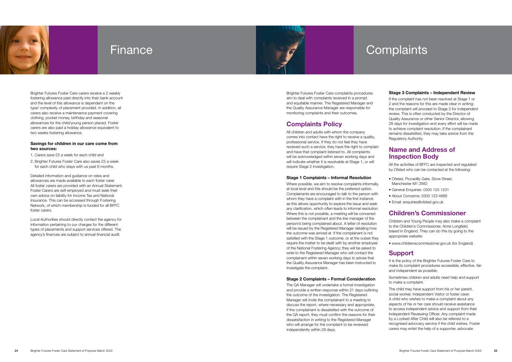Brighter Futures Foster Care carers receive a 2 weekly fostering allowance paid directly into their bank account and the level of this allowance is dependent on the type/ complexity of placement provided. In addition, all carers also receive a maintenance payment covering clothing, pocket money, birthday and seasonal allowances for the child/young person placed. Foster carers are also paid a holiday allowance equivalent to two weeks fostering allowance.

#### Savings for children in our care come from two sources:

1. Carers save £5 a week for each child and

2. Brighter Futures Foster Care also saves £5 a week for each child who stays with us past 6 months.

Detailed information and guidance on rates and allowances are made available to each foster carer. All foster carers are provided with an Annual Statement. Foster Carers are self-employed and must seek their own advice on liability for Income Tax and National Insurance. This can be accessed through Fostering Network, of which membership is funded for all BFFC foster carers.

Local Authorities should directly contact the agency for information pertaining to our charges for the different types of placements and support services offered. The agency's finances are subject to annual financial audit.





## Finance

Brighter Futures Foster Care complaints procedures aim to deal with complaints received in a prompt and equitable manner. The Registered Manager and the Quality Assurance Manager are responsible for monitoring complaints and their outcomes.

## Complaints Policy

All children and adults with whom the company comes into contact have the right to receive a quality, professional service. If they do not feel they have received such a service, they have the right to complain and have that complaint listened to. All complaints will be acknowledged within seven working days and will indicate whether it is resolvable at Stage 1, or will require Stage 2 investigation.

All the activities of BFFC are inspected and regulated by Ofsted who can be contacted at the following:<br>• Ofsted, Piccadilly Gate, Store Street,

#### Stage 1 Complaints – Informal Resolution

Where possible, we aim to resolve complaints informally, at local level and this should be the preferred option. Complainants are encouraged to talk to the person with whom they have a complaint with in the first instance as this allows opportunity to explore the issue and seek any clarification, which often leads to informal resolution. Where this is not possible, a meeting will be convened between the complainant and the line manager of the person/s being complained about. A letter of resolution will be issued by the Registered Manager detailing how the outcome was arrived at. If the complainant is not satisfied with the Stage 1 outcome, or at the outset they require the matter to be dealt with by another employee of the National Fostering Agency; they will be asked to write to the Registered Manager who will contact the complainant within seven working days to advise that the Quality Assurance Manager has been instructed to investigate the complaint.

#### Stage 2 Complaints – Formal Consideration

The QA Manager will undertake a formal investigation and provide a written response within 21 days outlining the outcome of the investigation. The Registered Manager will invite the complainant to a meeting to discuss the report, where necessary and appropriate. If the complainant is dissatisfied with the outcome of the QA report, they must confirm the reasons for their dissatisfaction in writing to the Registered Manager who will arrange for the complaint to be reviewed independently within 28 days.

# **Complaints**

#### Stage 3 Complaints – Independent Review

If the complaint has not been resolved at Stage 1 or 2 and the reasons for this are made clear in writing; the complaint will proceed to Stage 3 for independent review. This is often conducted by the Director of Quality Assurance or other Senior Director, allowing 28 days for investigation and every effort will be made to achieve complaint resolution. If the complainant remains dissatisfied, they may take advice from the Regulatory Authority.

## Name and Address of Inspection Body

- Manchester M1 2WD
- 
- General Enquiries: 0300 123 1231 About Concerns: 0300 123 4666 Email: enquiries@ofsted.gov.uk
- 

## Children's Commissioner

Children and Young People may also make a complaint to the Children's Commissioner, Anne Longfield, based in England. They can do this by going to the appropriate website: • www.childrenscommissioner.gov.uk (for England)

### **Support**

It is the policy of the Brighter Futures Foster Care to make its complaint procedures accessible, effective, fair and independent as possible.

Sometimes children and adults need help and support to make a complaint.

The child may have support from his or her parent, social worker, Independent Visitor or foster carer. A child who wishes to make a complaint about any aspects of his or her care should receive assistance to access independent advice and support from their Independent Reviewing Officer. Any complaint made by a Looked After Child will also be referred to a recognised advocacy service if the child wishes. Foster carers may enlist the help of a supporter, advocate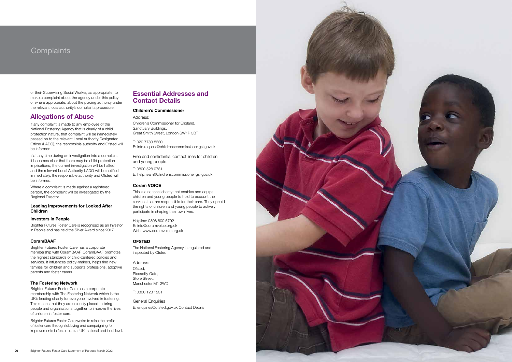## **Complaints**

or their Supervising Social Worker, as appropriate, to make a complaint about the agency under this policy or where appropriate, about the placing authority under the relevant local authority's complaints procedure.

### Allegations of Abuse

If any complaint is made to any employee of the National Fostering Agency that is clearly of a child protection nature, that complaint will be immediately passed on to the relevant Local Authority Designated Officer (LADO), the responsible authority and Ofsted will be informed.

Where a complaint is made against a registered person, the complaint will be investigated by the Regional Director.

If at any time during an investigation into a complaint it becomes clear that there may be child protection implications, the current investigation will be halted and the relevant Local Authority LADO will be notified immediately, the responsible authority and Ofsted will be informed.

#### Leading Improvements for Looked After Children

#### Investors in People

Brighter Futures Foster Care is recognised as an Investor in People and has held the Silver Award since 2017.

#### CoramBAAF

Brighter Futures Foster Care has a corporate membership with CoramBAAF. CoramBAAF promotes the highest standards of child-centered policies and services. It influences policy-makers, helps find new families for children and supports professions, adoptive parents and foster carers.

#### The Fostering Network

Brighter Futures Foster Care has a corporate membership with The Fostering Network which is the UK's leading charity for everyone involved in fostering. This means that they are uniquely placed to bring people and organisations together to improve the lives of children in foster care.

Brighter Futures Foster Care works to raise the profile of foster care through lobbying and campaigning for improvements in foster care at UK, national and local level.

## Essential Addresses and Contact Details

#### Children's Commissioner

Address:

Children's Commissioner for England, Sanctuary Buildings, Great Smith Street, London SW1P 3BT

T: 020 7783 8330 E: info.request@childrenscommissioner.gsi.gov.uk

Free and confidential contact lines for children and young people:

T: 0800 528 0731 E: help.team@childrenscommissioner.gsi.gov.uk

### Coram VOICE

This is a national charity that enables and equips children and young people to hold to account the services that are responsible for their care. They uphold the rights of children and young people to actively participate in shaping their own lives.

Helpline: 0808 800 5792 E: info@coramvoice.org.uk Web: www.coramvoice.org.uk

### **OFSTED**

The National Fostering Agency is regulated and inspected by Ofsted

Address: Ofsted, Piccadilly Gate, Store Street, Manchester M1 2WD

T: 0300 123 1231

### General Enquiries

E: enquiries@ofsted.gov.uk Contact Details